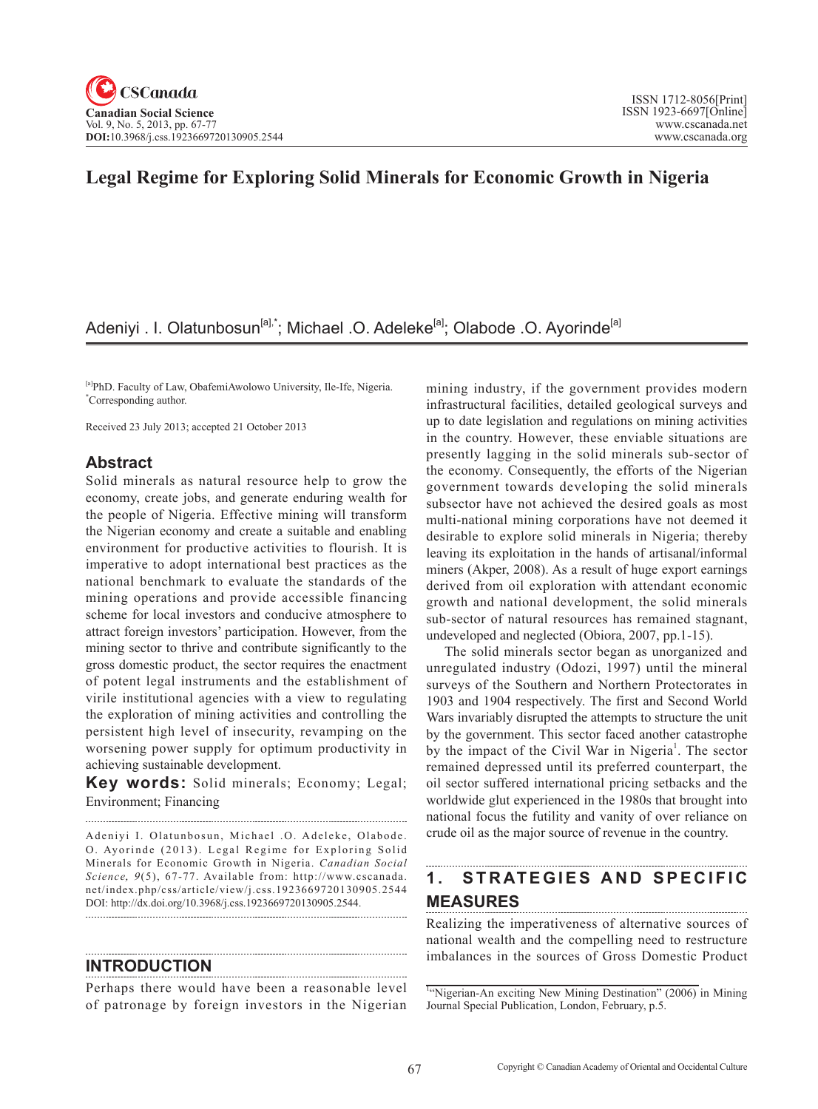# **Legal Regime for Exploring Solid Minerals for Economic Growth in Nigeria**

# Adeniyi . I. Olatunbosun<sup>[a],\*</sup>; Michael .O. Adeleke<sup>[a]</sup>; Olabode .O. Ayorinde<sup>[a]</sup>

[a]PhD. Faculty of Law, ObafemiAwolowo University, Ile-Ife, Nigeria. \* Corresponding author.

Received 23 July 2013; accepted 21 October 2013

### **Abstract**

Solid minerals as natural resource help to grow the economy, create jobs, and generate enduring wealth for the people of Nigeria. Effective mining will transform the Nigerian economy and create a suitable and enabling environment for productive activities to flourish. It is imperative to adopt international best practices as the national benchmark to evaluate the standards of the mining operations and provide accessible financing scheme for local investors and conducive atmosphere to attract foreign investors' participation. However, from the mining sector to thrive and contribute significantly to the gross domestic product, the sector requires the enactment of potent legal instruments and the establishment of virile institutional agencies with a view to regulating the exploration of mining activities and controlling the persistent high level of insecurity, revamping on the worsening power supply for optimum productivity in achieving sustainable development.

**Key words:** Solid minerals; Economy; Legal; Environment; Financing

Adeniyi I. Olatunbosun, Michael .O. Adeleke, Olabode. O. Ayorinde (2013). Legal Regime for Exploring Solid Minerals for Economic Growth in Nigeria. *Canadian Social Science*, 9(5), 67-77. Available from: http://www.cscanada. net/index.php/css/article/view/j.css.1923669720130905.2544 DOI: http://dx.doi.org/10.3968/j.css.1923669720130905.2544. 

### **INTRODUCTION**

Perhaps there would have been a reasonable level of patronage by foreign investors in the Nigerian

mining industry, if the government provides modern infrastructural facilities, detailed geological surveys and up to date legislation and regulations on mining activities in the country. However, these enviable situations are presently lagging in the solid minerals sub-sector of the economy. Consequently, the efforts of the Nigerian government towards developing the solid minerals subsector have not achieved the desired goals as most multi-national mining corporations have not deemed it desirable to explore solid minerals in Nigeria; thereby leaving its exploitation in the hands of artisanal/informal miners (Akper, 2008). As a result of huge export earnings derived from oil exploration with attendant economic growth and national development, the solid minerals sub-sector of natural resources has remained stagnant, undeveloped and neglected (Obiora, 2007, pp.1-15).

The solid minerals sector began as unorganized and unregulated industry (Odozi, 1997) until the mineral surveys of the Southern and Northern Protectorates in 1903 and 1904 respectively. The first and Second World Wars invariably disrupted the attempts to structure the unit by the government. This sector faced another catastrophe by the impact of the Civil War in Nigeria<sup>1</sup>. The sector remained depressed until its preferred counterpart, the oil sector suffered international pricing setbacks and the worldwide glut experienced in the 1980s that brought into national focus the futility and vanity of over reliance on crude oil as the major source of revenue in the country.

### 1. STRATEGIES AND SPECIFIC **MEASURES**

Realizing the imperativeness of alternative sources of national wealth and the compelling need to restructure imbalances in the sources of Gross Domestic Product

<sup>1</sup>"Nigerian-An exciting New Mining Destination" (2006) in Mining Journal Special Publication, London, February, p.5.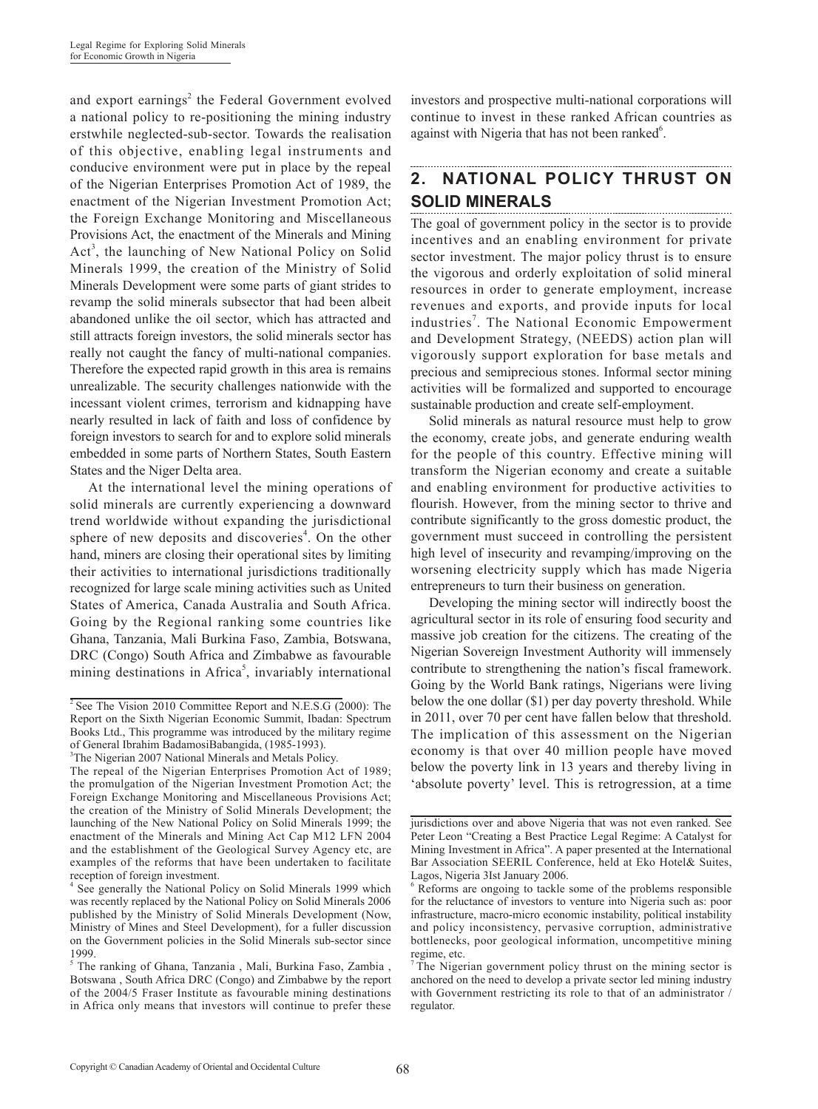and export earnings<sup>2</sup> the Federal Government evolved a national policy to re-positioning the mining industry erstwhile neglected-sub-sector. Towards the realisation of this objective, enabling legal instruments and conducive environment were put in place by the repeal of the Nigerian Enterprises Promotion Act of 1989, the enactment of the Nigerian Investment Promotion Act; the Foreign Exchange Monitoring and Miscellaneous Provisions Act, the enactment of the Minerals and Mining Act<sup>3</sup>, the launching of New National Policy on Solid Minerals 1999, the creation of the Ministry of Solid Minerals Development were some parts of giant strides to revamp the solid minerals subsector that had been albeit abandoned unlike the oil sector, which has attracted and still attracts foreign investors, the solid minerals sector has really not caught the fancy of multi-national companies. Therefore the expected rapid growth in this area is remains unrealizable. The security challenges nationwide with the incessant violent crimes, terrorism and kidnapping have nearly resulted in lack of faith and loss of confidence by foreign investors to search for and to explore solid minerals embedded in some parts of Northern States, South Eastern States and the Niger Delta area.

At the international level the mining operations of solid minerals are currently experiencing a downward trend worldwide without expanding the jurisdictional sphere of new deposits and discoveries<sup>4</sup>. On the other hand, miners are closing their operational sites by limiting their activities to international jurisdictions traditionally recognized for large scale mining activities such as United States of America, Canada Australia and South Africa. Going by the Regional ranking some countries like Ghana, Tanzania, Mali Burkina Faso, Zambia, Botswana, DRC (Congo) South Africa and Zimbabwe as favourable mining destinations in Africa<sup>5</sup>, invariably international

investors and prospective multi-national corporations will continue to invest in these ranked African countries as against with Nigeria that has not been ranked<sup>6</sup>.

### **2. NATIONAL POLICY THRUST ON SOLID MINERALS**

The goal of government policy in the sector is to provide incentives and an enabling environment for private sector investment. The major policy thrust is to ensure the vigorous and orderly exploitation of solid mineral resources in order to generate employment, increase revenues and exports, and provide inputs for local industries<sup>7</sup>. The National Economic Empowerment and Development Strategy, (NEEDS) action plan will vigorously support exploration for base metals and precious and semiprecious stones. Informal sector mining activities will be formalized and supported to encourage sustainable production and create self-employment.

Solid minerals as natural resource must help to grow the economy, create jobs, and generate enduring wealth for the people of this country. Effective mining will transform the Nigerian economy and create a suitable and enabling environment for productive activities to flourish. However, from the mining sector to thrive and contribute significantly to the gross domestic product, the government must succeed in controlling the persistent high level of insecurity and revamping/improving on the worsening electricity supply which has made Nigeria entrepreneurs to turn their business on generation.

Developing the mining sector will indirectly boost the agricultural sector in its role of ensuring food security and massive job creation for the citizens. The creating of the Nigerian Sovereign Investment Authority will immensely contribute to strengthening the nation's fiscal framework. Going by the World Bank ratings, Nigerians were living below the one dollar (\$1) per day poverty threshold. While in 2011, over 70 per cent have fallen below that threshold. The implication of this assessment on the Nigerian economy is that over 40 million people have moved below the poverty link in 13 years and thereby living in 'absolute poverty' level. This is retrogression, at a time

 $2$  See The Vision 2010 Committee Report and N.E.S.G (2000): The Report on the Sixth Nigerian Economic Summit, Ibadan: Spectrum Books Ltd., This programme was introduced by the military regime of General Ibrahim BadamosiBabangida, (1985-1993).

<sup>&</sup>lt;sup>3</sup>The Nigerian 2007 National Minerals and Metals Policy.

The repeal of the Nigerian Enterprises Promotion Act of 1989; the promulgation of the Nigerian Investment Promotion Act; the Foreign Exchange Monitoring and Miscellaneous Provisions Act; the creation of the Ministry of Solid Minerals Development; the launching of the New National Policy on Solid Minerals 1999; the enactment of the Minerals and Mining Act Cap M12 LFN 2004 and the establishment of the Geological Survey Agency etc, are examples of the reforms that have been undertaken to facilitate reception of foreign investment.

<sup>&</sup>lt;sup>4</sup> See generally the National Policy on Solid Minerals 1999 which was recently replaced by the National Policy on Solid Minerals 2006 published by the Ministry of Solid Minerals Development (Now, Ministry of Mines and Steel Development), for a fuller discussion on the Government policies in the Solid Minerals sub-sector since 1999.

<sup>5</sup> The ranking of Ghana, Tanzania , Mali, Burkina Faso, Zambia , Botswana , South Africa DRC (Congo) and Zimbabwe by the report of the 2004/5 Fraser Institute as favourable mining destinations in Africa only means that investors will continue to prefer these

jurisdictions over and above Nigeria that was not even ranked. See Peter Leon "Creating a Best Practice Legal Regime: A Catalyst for Mining Investment in Africa". A paper presented at the International Bar Association SEERIL Conference, held at Eko Hotel& Suites, Lagos, Nigeria 3Ist January 2006.

<sup>6</sup> Reforms are ongoing to tackle some of the problems responsible for the reluctance of investors to venture into Nigeria such as: poor infrastructure, macro-micro economic instability, political instability and policy inconsistency, pervasive corruption, administrative bottlenecks, poor geological information, uncompetitive mining regime, etc.

<sup>&</sup>lt;sup>7</sup> The Nigerian government policy thrust on the mining sector is anchored on the need to develop a private sector led mining industry with Government restricting its role to that of an administrator / regulator.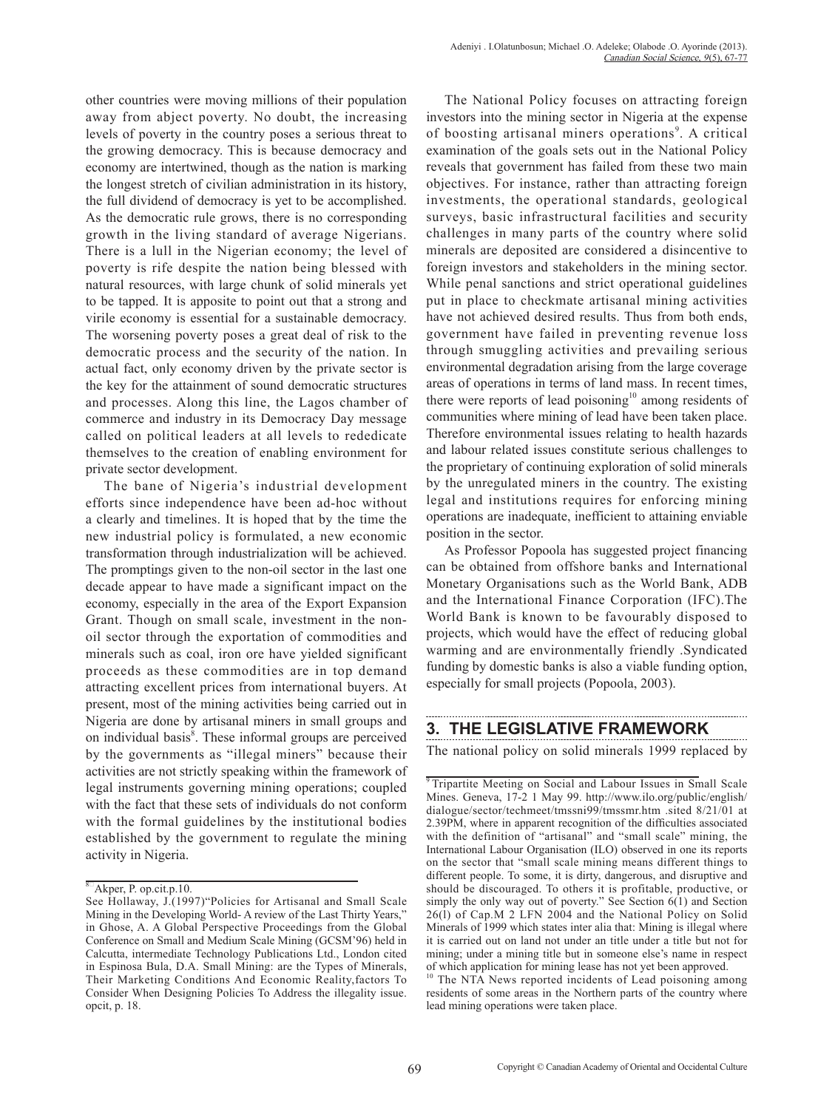other countries were moving millions of their population away from abject poverty. No doubt, the increasing levels of poverty in the country poses a serious threat to the growing democracy. This is because democracy and economy are intertwined, though as the nation is marking the longest stretch of civilian administration in its history, the full dividend of democracy is yet to be accomplished. As the democratic rule grows, there is no corresponding growth in the living standard of average Nigerians. There is a lull in the Nigerian economy; the level of poverty is rife despite the nation being blessed with natural resources, with large chunk of solid minerals yet to be tapped. It is apposite to point out that a strong and virile economy is essential for a sustainable democracy. The worsening poverty poses a great deal of risk to the democratic process and the security of the nation. In actual fact, only economy driven by the private sector is the key for the attainment of sound democratic structures and processes. Along this line, the Lagos chamber of commerce and industry in its Democracy Day message called on political leaders at all levels to rededicate themselves to the creation of enabling environment for private sector development.

The bane of Nigeria's industrial development efforts since independence have been ad-hoc without a clearly and timelines. It is hoped that by the time the new industrial policy is formulated, a new economic transformation through industrialization will be achieved. The promptings given to the non-oil sector in the last one decade appear to have made a significant impact on the economy, especially in the area of the Export Expansion Grant. Though on small scale, investment in the nonoil sector through the exportation of commodities and minerals such as coal, iron ore have yielded significant proceeds as these commodities are in top demand attracting excellent prices from international buyers. At present, most of the mining activities being carried out in Nigeria are done by artisanal miners in small groups and on individual basis<sup>8</sup>. These informal groups are perceived by the governments as "illegal miners" because their activities are not strictly speaking within the framework of legal instruments governing mining operations; coupled with the fact that these sets of individuals do not conform with the formal guidelines by the institutional bodies established by the government to regulate the mining activity in Nigeria.

The National Policy focuses on attracting foreign investors into the mining sector in Nigeria at the expense of boosting artisanal miners operations<sup>9</sup>. A critical examination of the goals sets out in the National Policy reveals that government has failed from these two main objectives. For instance, rather than attracting foreign investments, the operational standards, geological surveys, basic infrastructural facilities and security challenges in many parts of the country where solid minerals are deposited are considered a disincentive to foreign investors and stakeholders in the mining sector. While penal sanctions and strict operational guidelines put in place to checkmate artisanal mining activities have not achieved desired results. Thus from both ends, government have failed in preventing revenue loss through smuggling activities and prevailing serious environmental degradation arising from the large coverage areas of operations in terms of land mass. In recent times, there were reports of lead poisoning $10$  among residents of communities where mining of lead have been taken place. Therefore environmental issues relating to health hazards and labour related issues constitute serious challenges to the proprietary of continuing exploration of solid minerals by the unregulated miners in the country. The existing legal and institutions requires for enforcing mining operations are inadequate, inefficient to attaining enviable position in the sector.

As Professor Popoola has suggested project financing can be obtained from offshore banks and International Monetary Organisations such as the World Bank, ADB and the International Finance Corporation (IFC).The World Bank is known to be favourably disposed to projects, which would have the effect of reducing global warming and are environmentally friendly .Syndicated funding by domestic banks is also a viable funding option, especially for small projects (Popoola, 2003).

## **3. THE LEGISLATIVE FRAMEWORK**

The national policy on solid minerals 1999 replaced by

 $8\text{A}$ kper, P. op.cit.p.10.

See Hollaway, J.(1997)"Policies for Artisanal and Small Scale Mining in the Developing World- A review of the Last Thirty Years," in Ghose, A. A Global Perspective Proceedings from the Global Conference on Small and Medium Scale Mining (GCSM'96) held in Calcutta, intermediate Technology Publications Ltd., London cited in Espinosa Bula, D.A. Small Mining: are the Types of Minerals, Their Marketing Conditions And Economic Reality,factors To Consider When Designing Policies To Address the illegality issue. opcit, p. 18.

<sup>&</sup>lt;sup>9</sup> Tripartite Meeting on Social and Labour Issues in Small Scale Mines. Geneva, 17-2 1 May 99. http://www.ilo.org/public/english/ dialogue/sector/techmeet/tmssni99/tmssmr.htm .sited 8/21/01 at 2.39PM, where in apparent recognition of the difficulties associated with the definition of "artisanal" and "small scale" mining, the International Labour Organisation (ILO) observed in one its reports on the sector that "small scale mining means different things to different people. To some, it is dirty, dangerous, and disruptive and should be discouraged. To others it is profitable, productive, or simply the only way out of poverty." See Section 6(1) and Section 26(l) of Cap.M 2 LFN 2004 and the National Policy on Solid Minerals of 1999 which states inter alia that: Mining is illegal where it is carried out on land not under an title under a title but not for mining; under a mining title but in someone else's name in respect of which application for mining lease has not yet been approved.

<sup>&</sup>lt;sup>10</sup> The NTA News reported incidents of Lead poisoning among residents of some areas in the Northern parts of the country where lead mining operations were taken place.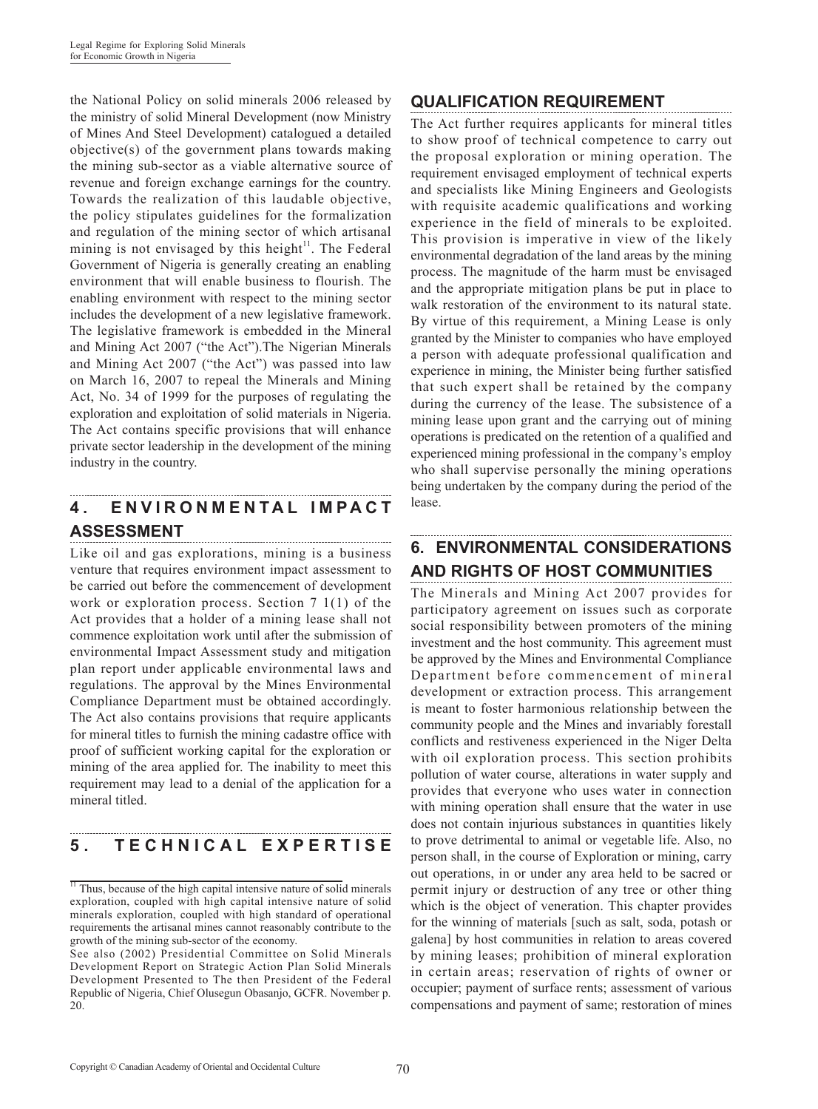the National Policy on solid minerals 2006 released by the ministry of solid Mineral Development (now Ministry of Mines And Steel Development) catalogued a detailed objective(s) of the government plans towards making the mining sub-sector as a viable alternative source of revenue and foreign exchange earnings for the country. Towards the realization of this laudable objective, the policy stipulates guidelines for the formalization and regulation of the mining sector of which artisanal mining is not envisaged by this height $11$ . The Federal Government of Nigeria is generally creating an enabling environment that will enable business to flourish. The enabling environment with respect to the mining sector includes the development of a new legislative framework. The legislative framework is embedded in the Mineral and Mining Act 2007 ("the Act").The Nigerian Minerals and Mining Act 2007 ("the Act") was passed into law on March 16, 2007 to repeal the Minerals and Mining Act, No. 34 of 1999 for the purposes of regulating the exploration and exploitation of solid materials in Nigeria. The Act contains specific provisions that will enhance private sector leadership in the development of the mining industry in the country.

## **4 . E N V I R O N M E N T A L I M P A C T ASSESSMENT**

Like oil and gas explorations, mining is a business venture that requires environment impact assessment to be carried out before the commencement of development work or exploration process. Section 7 1(1) of the Act provides that a holder of a mining lease shall not commence exploitation work until after the submission of environmental Impact Assessment study and mitigation plan report under applicable environmental laws and regulations. The approval by the Mines Environmental Compliance Department must be obtained accordingly. The Act also contains provisions that require applicants for mineral titles to furnish the mining cadastre office with proof of sufficient working capital for the exploration or mining of the area applied for. The inability to meet this requirement may lead to a denial of the application for a mineral titled.

# **5 . T E C H N I C A L E X P E R T I S E**

## **QUALIFICATION REQUIREMENT**

The Act further requires applicants for mineral titles to show proof of technical competence to carry out the proposal exploration or mining operation. The requirement envisaged employment of technical experts and specialists like Mining Engineers and Geologists with requisite academic qualifications and working experience in the field of minerals to be exploited. This provision is imperative in view of the likely environmental degradation of the land areas by the mining process. The magnitude of the harm must be envisaged and the appropriate mitigation plans be put in place to walk restoration of the environment to its natural state. By virtue of this requirement, a Mining Lease is only granted by the Minister to companies who have employed a person with adequate professional qualification and experience in mining, the Minister being further satisfied that such expert shall be retained by the company during the currency of the lease. The subsistence of a mining lease upon grant and the carrying out of mining operations is predicated on the retention of a qualified and experienced mining professional in the company's employ who shall supervise personally the mining operations being undertaken by the company during the period of the lease.

# **6. ENVIRONMENTAL CONSIDERATIONS AND RIGHTS OF HOST COMMUNITIES**

The Minerals and Mining Act 2007 provides for participatory agreement on issues such as corporate social responsibility between promoters of the mining investment and the host community. This agreement must be approved by the Mines and Environmental Compliance Department before commencement of mineral development or extraction process. This arrangement is meant to foster harmonious relationship between the community people and the Mines and invariably forestall conflicts and restiveness experienced in the Niger Delta with oil exploration process. This section prohibits pollution of water course, alterations in water supply and provides that everyone who uses water in connection with mining operation shall ensure that the water in use does not contain injurious substances in quantities likely to prove detrimental to animal or vegetable life. Also, no person shall, in the course of Exploration or mining, carry out operations, in or under any area held to be sacred or permit injury or destruction of any tree or other thing which is the object of veneration. This chapter provides for the winning of materials [such as salt, soda, potash or galena] by host communities in relation to areas covered by mining leases; prohibition of mineral exploration in certain areas; reservation of rights of owner or occupier; payment of surface rents; assessment of various compensations and payment of same; restoration of mines

 $\frac{1}{11}$  Thus, because of the high capital intensive nature of solid minerals exploration, coupled with high capital intensive nature of solid minerals exploration, coupled with high standard of operational requirements the artisanal mines cannot reasonably contribute to the growth of the mining sub-sector of the economy.

See also (2002) Presidential Committee on Solid Minerals Development Report on Strategic Action Plan Solid Minerals Development Presented to The then President of the Federal Republic of Nigeria, Chief Olusegun Obasanjo, GCFR. November p. 20.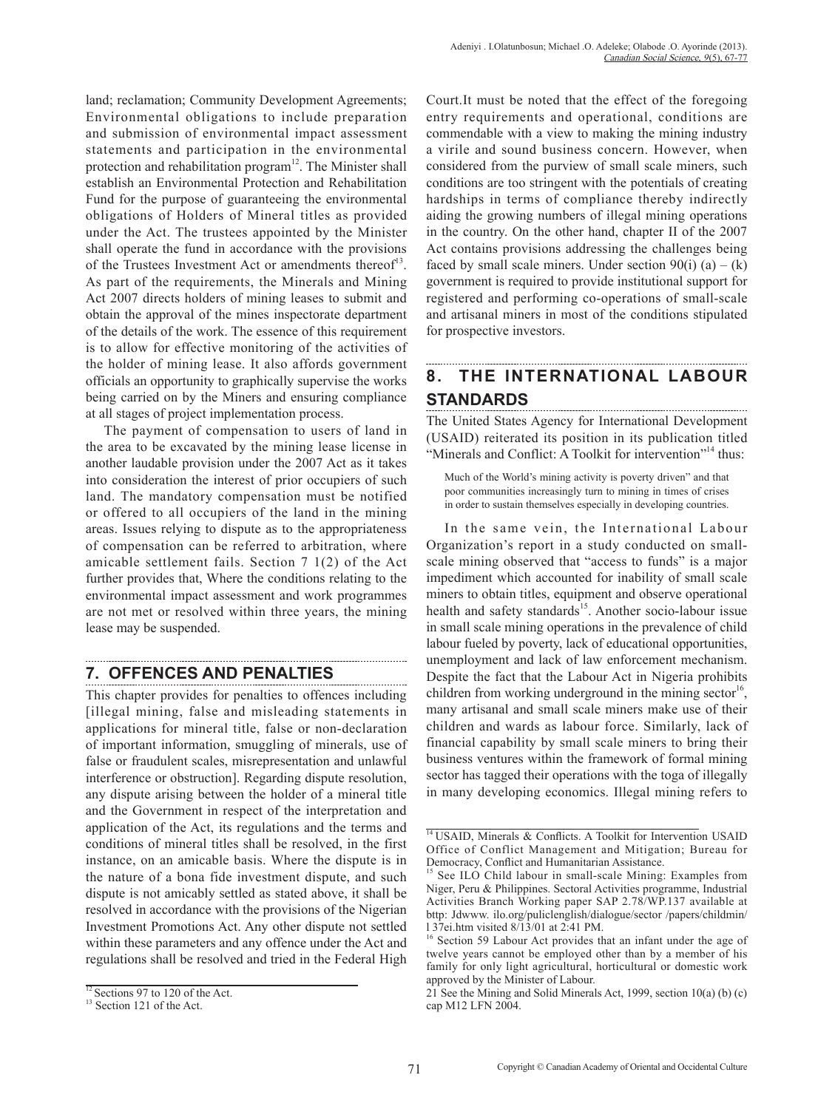land; reclamation; Community Development Agreements; Environmental obligations to include preparation and submission of environmental impact assessment statements and participation in the environmental protection and rehabilitation program<sup>12</sup>. The Minister shall establish an Environmental Protection and Rehabilitation Fund for the purpose of guaranteeing the environmental obligations of Holders of Mineral titles as provided under the Act. The trustees appointed by the Minister shall operate the fund in accordance with the provisions of the Trustees Investment Act or amendments thereof<sup>13</sup>. As part of the requirements, the Minerals and Mining Act 2007 directs holders of mining leases to submit and obtain the approval of the mines inspectorate department of the details of the work. The essence of this requirement is to allow for effective monitoring of the activities of the holder of mining lease. It also affords government officials an opportunity to graphically supervise the works being carried on by the Miners and ensuring compliance at all stages of project implementation process.

The payment of compensation to users of land in the area to be excavated by the mining lease license in another laudable provision under the 2007 Act as it takes into consideration the interest of prior occupiers of such land. The mandatory compensation must be notified or offered to all occupiers of the land in the mining areas. Issues relying to dispute as to the appropriateness of compensation can be referred to arbitration, where amicable settlement fails. Section 7 1(2) of the Act further provides that, Where the conditions relating to the environmental impact assessment and work programmes are not met or resolved within three years, the mining lease may be suspended.

# **7. OFFENCES AND PENALTIES**

This chapter provides for penalties to offences including [illegal mining, false and misleading statements in applications for mineral title, false or non-declaration of important information, smuggling of minerals, use of false or fraudulent scales, misrepresentation and unlawful interference or obstruction]. Regarding dispute resolution, any dispute arising between the holder of a mineral title and the Government in respect of the interpretation and application of the Act, its regulations and the terms and conditions of mineral titles shall be resolved, in the first instance, on an amicable basis. Where the dispute is in the nature of a bona fide investment dispute, and such dispute is not amicably settled as stated above, it shall be resolved in accordance with the provisions of the Nigerian Investment Promotions Act. Any other dispute not settled within these parameters and any offence under the Act and regulations shall be resolved and tried in the Federal High Court.It must be noted that the effect of the foregoing entry requirements and operational, conditions are commendable with a view to making the mining industry a virile and sound business concern. However, when considered from the purview of small scale miners, such conditions are too stringent with the potentials of creating hardships in terms of compliance thereby indirectly aiding the growing numbers of illegal mining operations in the country. On the other hand, chapter II of the 2007 Act contains provisions addressing the challenges being faced by small scale miners. Under section  $90(i)$  (a) – (k) government is required to provide institutional support for registered and performing co-operations of small-scale and artisanal miners in most of the conditions stipulated for prospective investors.

#### **8. THE INTERNATIONAL LABOUR STANDARDS**

The United States Agency for International Development (USAID) reiterated its position in its publication titled "Minerals and Conflict: A Toolkit for intervention"<sup>14</sup> thus:

Much of the World's mining activity is poverty driven" and that poor communities increasingly turn to mining in times of crises in order to sustain themselves especially in developing countries.

In the same vein, the International Labour Organization's report in a study conducted on smallscale mining observed that "access to funds" is a major impediment which accounted for inability of small scale miners to obtain titles, equipment and observe operational health and safety standards<sup>15</sup>. Another socio-labour issue in small scale mining operations in the prevalence of child labour fueled by poverty, lack of educational opportunities, unemployment and lack of law enforcement mechanism. Despite the fact that the Labour Act in Nigeria prohibits children from working underground in the mining sector<sup>16</sup>, many artisanal and small scale miners make use of their children and wards as labour force. Similarly, lack of financial capability by small scale miners to bring their business ventures within the framework of formal mining sector has tagged their operations with the toga of illegally in many developing economics. Illegal mining refers to

 $\frac{12}{13}$  Sections 97 to 120 of the Act.<br><sup>13</sup> Section 121 of the Act.

<sup>&</sup>lt;sup>14</sup> USAID, Minerals & Conflicts. A Toolkit for Intervention USAID Office of Conflict Management and Mitigation; Bureau for Democracy, Conflict and Humanitarian Assistance.

See ILO Child labour in small-scale Mining: Examples from Niger, Peru & Philippines. Sectoral Activities programme, Industrial Activities Branch Working paper SAP 2.78/WP.137 available at bttp: Jdwww. ilo.org/puliclenglish/dialogue/sector /papers/childmin/ l 37ei.htm visited 8/13/01 at 2:41 PM.

<sup>&</sup>lt;sup>16</sup> Section 59 Labour Act provides that an infant under the age of twelve years cannot be employed other than by a member of his family for only light agricultural, horticultural or domestic work approved by the Minister of Labour.

<sup>21</sup> See the Mining and Solid Minerals Act, 1999, section 10(a) (b) (c) cap M12 LFN 2004.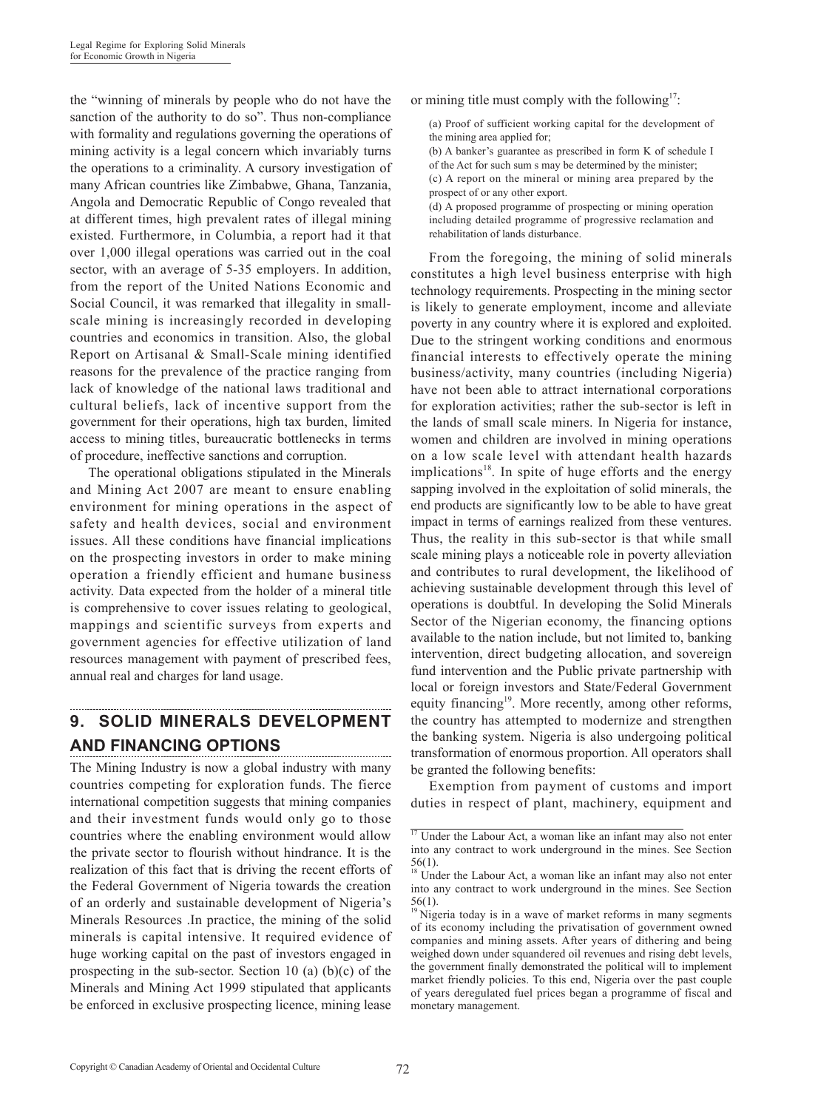the "winning of minerals by people who do not have the sanction of the authority to do so". Thus non-compliance with formality and regulations governing the operations of mining activity is a legal concern which invariably turns the operations to a criminality. A cursory investigation of many African countries like Zimbabwe, Ghana, Tanzania, Angola and Democratic Republic of Congo revealed that at different times, high prevalent rates of illegal mining existed. Furthermore, in Columbia, a report had it that over 1,000 illegal operations was carried out in the coal sector, with an average of 5-35 employers. In addition, from the report of the United Nations Economic and Social Council, it was remarked that illegality in smallscale mining is increasingly recorded in developing countries and economics in transition. Also, the global Report on Artisanal & Small-Scale mining identified reasons for the prevalence of the practice ranging from lack of knowledge of the national laws traditional and cultural beliefs, lack of incentive support from the government for their operations, high tax burden, limited access to mining titles, bureaucratic bottlenecks in terms of procedure, ineffective sanctions and corruption.

The operational obligations stipulated in the Minerals and Mining Act 2007 are meant to ensure enabling environment for mining operations in the aspect of safety and health devices, social and environment issues. All these conditions have financial implications on the prospecting investors in order to make mining operation a friendly efficient and humane business activity. Data expected from the holder of a mineral title is comprehensive to cover issues relating to geological, mappings and scientific surveys from experts and government agencies for effective utilization of land resources management with payment of prescribed fees, annual real and charges for land usage.

# **9. SOLID MINERALS DEVELOPMENT AND FINANCING OPTIONS**

The Mining Industry is now a global industry with many countries competing for exploration funds. The fierce international competition suggests that mining companies and their investment funds would only go to those countries where the enabling environment would allow the private sector to flourish without hindrance. It is the realization of this fact that is driving the recent efforts of the Federal Government of Nigeria towards the creation of an orderly and sustainable development of Nigeria's Minerals Resources .In practice, the mining of the solid minerals is capital intensive. It required evidence of huge working capital on the past of investors engaged in prospecting in the sub-sector. Section 10 (a) (b)(c) of the Minerals and Mining Act 1999 stipulated that applicants be enforced in exclusive prospecting licence, mining lease

or mining title must comply with the following $17$ :

(a) Proof of sufficient working capital for the development of the mining area applied for;

(b) A banker's guarantee as prescribed in form K of schedule I of the Act for such sum s may be determined by the minister; (c) A report on the mineral or mining area prepared by the prospect of or any other export.

(d) A proposed programme of prospecting or mining operation including detailed programme of progressive reclamation and rehabilitation of lands disturbance.

From the foregoing, the mining of solid minerals constitutes a high level business enterprise with high technology requirements. Prospecting in the mining sector is likely to generate employment, income and alleviate poverty in any country where it is explored and exploited. Due to the stringent working conditions and enormous financial interests to effectively operate the mining business/activity, many countries (including Nigeria) have not been able to attract international corporations for exploration activities; rather the sub-sector is left in the lands of small scale miners. In Nigeria for instance, women and children are involved in mining operations on a low scale level with attendant health hazards implications<sup>18</sup>. In spite of huge efforts and the energy sapping involved in the exploitation of solid minerals, the end products are significantly low to be able to have great impact in terms of earnings realized from these ventures. Thus, the reality in this sub-sector is that while small scale mining plays a noticeable role in poverty alleviation and contributes to rural development, the likelihood of achieving sustainable development through this level of operations is doubtful. In developing the Solid Minerals Sector of the Nigerian economy, the financing options available to the nation include, but not limited to, banking intervention, direct budgeting allocation, and sovereign fund intervention and the Public private partnership with local or foreign investors and State/Federal Government equity financing<sup>19</sup>. More recently, among other reforms, the country has attempted to modernize and strengthen the banking system. Nigeria is also undergoing political transformation of enormous proportion. All operators shall be granted the following benefits:

Exemption from payment of customs and import duties in respect of plant, machinery, equipment and

 $17$  Under the Labour Act, a woman like an infant may also not enter into any contract to work underground in the mines. See Section 56(1).

<sup>&</sup>lt;sup>18</sup> Under the Labour Act, a woman like an infant may also not enter into any contract to work underground in the mines. See Section 56(1).

<sup>&</sup>lt;sup>19</sup> Nigeria today is in a wave of market reforms in many segments of its economy including the privatisation of government owned companies and mining assets. After years of dithering and being weighed down under squandered oil revenues and rising debt levels, the government finally demonstrated the political will to implement market friendly policies. To this end, Nigeria over the past couple of years deregulated fuel prices began a programme of fiscal and monetary management.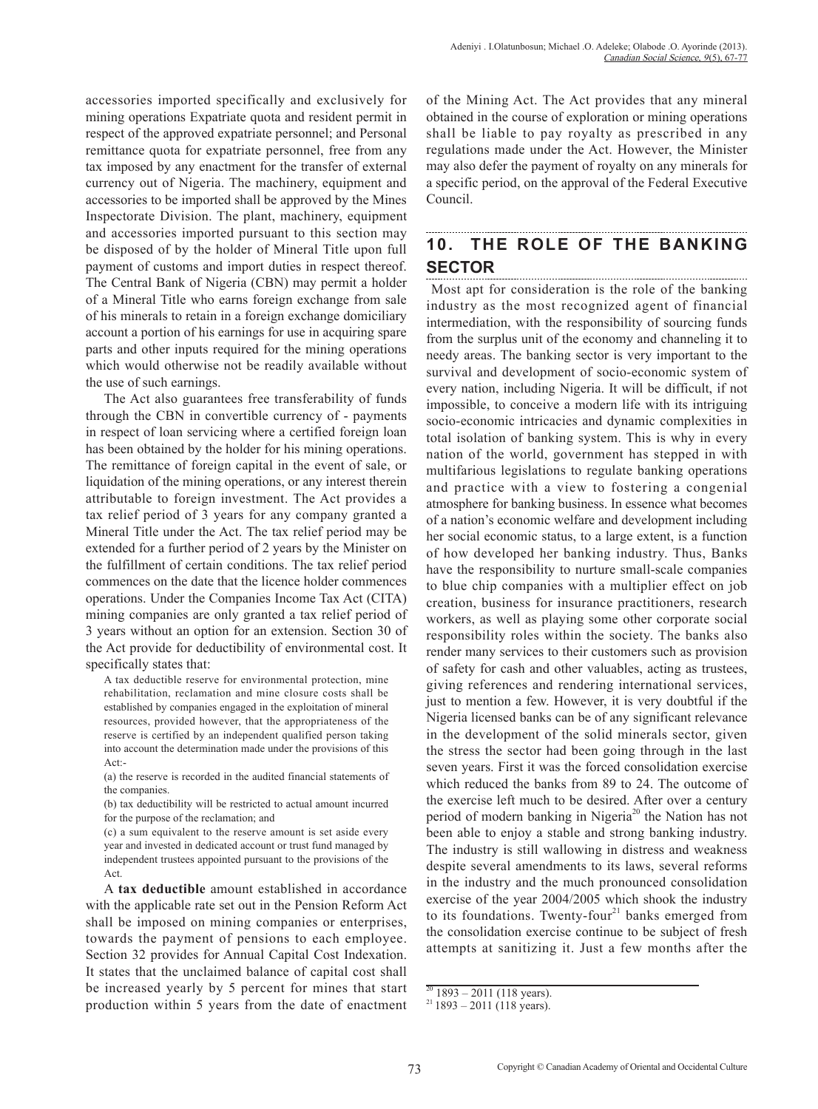accessories imported specifically and exclusively for mining operations Expatriate quota and resident permit in respect of the approved expatriate personnel; and Personal remittance quota for expatriate personnel, free from any tax imposed by any enactment for the transfer of external currency out of Nigeria. The machinery, equipment and accessories to be imported shall be approved by the Mines Inspectorate Division. The plant, machinery, equipment and accessories imported pursuant to this section may be disposed of by the holder of Mineral Title upon full payment of customs and import duties in respect thereof. The Central Bank of Nigeria (CBN) may permit a holder of a Mineral Title who earns foreign exchange from sale of his minerals to retain in a foreign exchange domiciliary account a portion of his earnings for use in acquiring spare parts and other inputs required for the mining operations which would otherwise not be readily available without the use of such earnings.

The Act also guarantees free transferability of funds through the CBN in convertible currency of - payments in respect of loan servicing where a certified foreign loan has been obtained by the holder for his mining operations. The remittance of foreign capital in the event of sale, or liquidation of the mining operations, or any interest therein attributable to foreign investment. The Act provides a tax relief period of 3 years for any company granted a Mineral Title under the Act. The tax relief period may be extended for a further period of 2 years by the Minister on the fulfillment of certain conditions. The tax relief period commences on the date that the licence holder commences operations. Under the Companies Income Tax Act (CITA) mining companies are only granted a tax relief period of 3 years without an option for an extension. Section 30 of the Act provide for deductibility of environmental cost. It specifically states that:

A tax deductible reserve for environmental protection, mine rehabilitation, reclamation and mine closure costs shall be established by companies engaged in the exploitation of mineral resources, provided however, that the appropriateness of the reserve is certified by an independent qualified person taking into account the determination made under the provisions of this Act:-

(a) the reserve is recorded in the audited financial statements of the companies.

(b) tax deductibility will be restricted to actual amount incurred for the purpose of the reclamation; and

(c) a sum equivalent to the reserve amount is set aside every year and invested in dedicated account or trust fund managed by independent trustees appointed pursuant to the provisions of the Act.

A **tax deductible** amount established in accordance with the applicable rate set out in the Pension Reform Act shall be imposed on mining companies or enterprises, towards the payment of pensions to each employee. Section 32 provides for Annual Capital Cost Indexation. It states that the unclaimed balance of capital cost shall be increased yearly by 5 percent for mines that start production within 5 years from the date of enactment of the Mining Act. The Act provides that any mineral obtained in the course of exploration or mining operations shall be liable to pay royalty as prescribed in any regulations made under the Act. However, the Minister may also defer the payment of royalty on any minerals for a specific period, on the approval of the Federal Executive Council.

#### **10. THE ROLE OF THE BANKING SECTOR**

 Most apt for consideration is the role of the banking industry as the most recognized agent of financial intermediation, with the responsibility of sourcing funds from the surplus unit of the economy and channeling it to needy areas. The banking sector is very important to the survival and development of socio-economic system of every nation, including Nigeria. It will be difficult, if not impossible, to conceive a modern life with its intriguing socio-economic intricacies and dynamic complexities in total isolation of banking system. This is why in every nation of the world, government has stepped in with multifarious legislations to regulate banking operations and practice with a view to fostering a congenial atmosphere for banking business. In essence what becomes of a nation's economic welfare and development including her social economic status, to a large extent, is a function of how developed her banking industry. Thus, Banks have the responsibility to nurture small-scale companies to blue chip companies with a multiplier effect on job creation, business for insurance practitioners, research workers, as well as playing some other corporate social responsibility roles within the society. The banks also render many services to their customers such as provision of safety for cash and other valuables, acting as trustees, giving references and rendering international services, just to mention a few. However, it is very doubtful if the Nigeria licensed banks can be of any significant relevance in the development of the solid minerals sector, given the stress the sector had been going through in the last seven years. First it was the forced consolidation exercise which reduced the banks from 89 to 24. The outcome of the exercise left much to be desired. After over a century period of modern banking in Nigeria<sup>20</sup> the Nation has not been able to enjoy a stable and strong banking industry. The industry is still wallowing in distress and weakness despite several amendments to its laws, several reforms in the industry and the much pronounced consolidation exercise of the year 2004/2005 which shook the industry to its foundations. Twenty-four<sup>21</sup> banks emerged from the consolidation exercise continue to be subject of fresh attempts at sanitizing it. Just a few months after the

 $20$  1893 – 2011 (118 years).

 $21$  1893 – 2011 (118 years).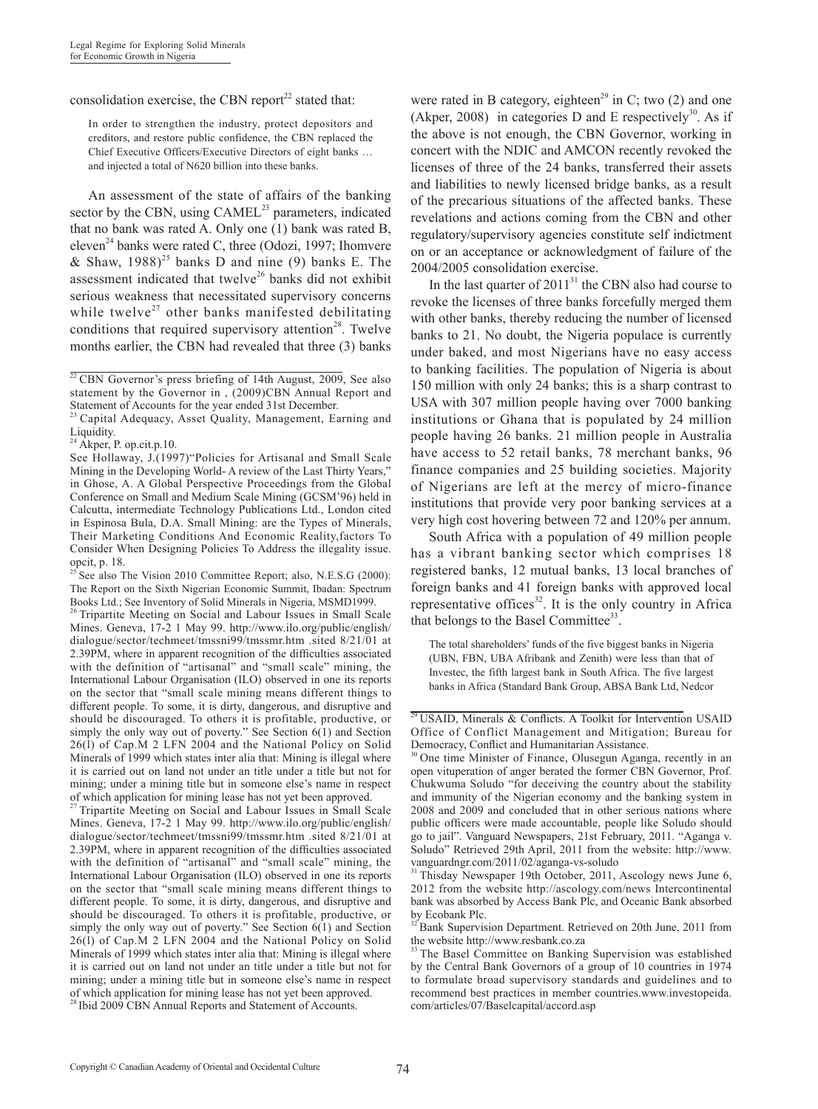## consolidation exercise, the CBN report $^{22}$  stated that:

In order to strengthen the industry, protect depositors and creditors, and restore public confidence, the CBN replaced the Chief Executive Officers/Executive Directors of eight banks … and injected a total of N620 billion into these banks.

An assessment of the state of affairs of the banking sector by the CBN, using  $CAMEL<sup>23</sup>$  parameters, indicated that no bank was rated A. Only one (1) bank was rated B, eleven<sup>24</sup> banks were rated C, three (Odozi, 1997; Ihomvere & Shaw,  $1988^{25}$  banks D and nine (9) banks E. The assessment indicated that twelve<sup>26</sup> banks did not exhibit serious weakness that necessitated supervisory concerns while twelve<sup>27</sup> other banks manifested debilitating conditions that required supervisory attention<sup>28</sup>. Twelve months earlier, the CBN had revealed that three (3) banks

<sup>25</sup> See also The Vision 2010 Committee Report; also, N.E.S.G (2000): The Report on the Sixth Nigerian Economic Summit, Ibadan: Spectrum Books Ltd.; See Inventory of Solid Minerals in Nigeria, MSMD1999.

26 Tripartite Meeting on Social and Labour Issues in Small Scale Mines. Geneva, 17-2 1 May 99. http://www.ilo.org/public/english/ dialogue/sector/techmeet/tmssni99/tmssmr.htm .sited 8/21/01 at 2.39PM, where in apparent recognition of the difficulties associated with the definition of "artisanal" and "small scale" mining, the International Labour Organisation (ILO) observed in one its reports on the sector that "small scale mining means different things to different people. To some, it is dirty, dangerous, and disruptive and should be discouraged. To others it is profitable, productive, or simply the only way out of poverty." See Section 6(1) and Section 26(l) of Cap.M 2 LFN 2004 and the National Policy on Solid Minerals of 1999 which states inter alia that: Mining is illegal where it is carried out on land not under an title under a title but not for mining; under a mining title but in someone else's name in respect of which application for mining lease has not yet been approved.

<sup>27</sup> Tripartite Meeting on Social and Labour Issues in Small Scale Mines. Geneva, 17-2 1 May 99. http://www.ilo.org/public/english/ dialogue/sector/techmeet/tmssni99/tmssmr.htm .sited 8/21/01 at 2.39PM, where in apparent recognition of the difficulties associated with the definition of "artisanal" and "small scale" mining, the International Labour Organisation (ILO) observed in one its reports on the sector that "small scale mining means different things to different people. To some, it is dirty, dangerous, and disruptive and should be discouraged. To others it is profitable, productive, or simply the only way out of poverty." See Section 6(1) and Section 26(l) of Cap.M 2 LFN 2004 and the National Policy on Solid Minerals of 1999 which states inter alia that: Mining is illegal where it is carried out on land not under an title under a title but not for mining; under a mining title but in someone else's name in respect of which application for mining lease has not yet been approved.

<sup>28</sup> Ibid 2009 CBN Annual Reports and Statement of Accounts.

were rated in B category, eighteen<sup>29</sup> in C; two  $(2)$  and one (Akper, 2008) in categories D and E respectively<sup>30</sup>. As if the above is not enough, the CBN Governor, working in concert with the NDIC and AMCON recently revoked the licenses of three of the 24 banks, transferred their assets and liabilities to newly licensed bridge banks, as a result of the precarious situations of the affected banks. These revelations and actions coming from the CBN and other regulatory/supervisory agencies constitute self indictment on or an acceptance or acknowledgment of failure of the 2004/2005 consolidation exercise.

In the last quarter of  $2011<sup>31</sup>$  the CBN also had course to revoke the licenses of three banks forcefully merged them with other banks, thereby reducing the number of licensed banks to 21. No doubt, the Nigeria populace is currently under baked, and most Nigerians have no easy access to banking facilities. The population of Nigeria is about 150 million with only 24 banks; this is a sharp contrast to USA with 307 million people having over 7000 banking institutions or Ghana that is populated by 24 million people having 26 banks. 21 million people in Australia have access to 52 retail banks, 78 merchant banks, 96 finance companies and 25 building societies. Majority of Nigerians are left at the mercy of micro-finance institutions that provide very poor banking services at a very high cost hovering between 72 and 120% per annum.

South Africa with a population of 49 million people has a vibrant banking sector which comprises 18 registered banks, 12 mutual banks, 13 local branches of foreign banks and 41 foreign banks with approved local representative offices<sup>32</sup>. It is the only country in Africa that belongs to the Basel Committee<sup>33</sup>.

The total shareholders' funds of the five biggest banks in Nigeria (UBN, FBN, UBA Afribank and Zenith) were less than that of Investec, the fifth largest bank in South Africa. The five largest banks in Africa (Standard Bank Group, ABSA Bank Ltd, Nedcor

 $22$  CBN Governor's press briefing of 14th August, 2009, See also statement by the Governor in , (2009)CBN Annual Report and Statement of Accounts for the year ended 31st December.

Capital Adequacy, Asset Quality, Management, Earning and Liquidity.

 $24$  Akper, P. op.cit.p.10.

See Hollaway, J.(1997)"Policies for Artisanal and Small Scale Mining in the Developing World- A review of the Last Thirty Years," in Ghose, A. A Global Perspective Proceedings from the Global Conference on Small and Medium Scale Mining (GCSM'96) held in Calcutta, intermediate Technology Publications Ltd., London cited in Espinosa Bula, D.A. Small Mining: are the Types of Minerals, Their Marketing Conditions And Economic Reality,factors To Consider When Designing Policies To Address the illegality issue. opcit, p. 18.

 $29$  USAID, Minerals & Conflicts. A Toolkit for Intervention USAID Office of Conflict Management and Mitigation; Bureau for Democracy, Conflict and Humanitarian Assistance.

<sup>30</sup> One time Minister of Finance, Olusegun Aganga, recently in an open vituperation of anger berated the former CBN Governor, Prof. Chukwuma Soludo "for deceiving the country about the stability and immunity of the Nigerian economy and the banking system in 2008 and 2009 and concluded that in other serious nations where public officers were made accountable, people like Soludo should go to jail". Vanguard Newspapers, 21st February, 2011. "Aganga v. Soludo" Retrieved 29th April, 2011 from the website: http://www. vanguardngr.com/2011/02/aganga-vs-soludo

<sup>&</sup>lt;sup>31</sup> Thisday Newspaper 19th October, 2011, Ascology news June 6, 2012 from the website http://ascology.com/news Intercontinental bank was absorbed by Access Bank Plc, and Oceanic Bank absorbed by Ecobank Plc.

 $\frac{32}{22}$  Bank Supervision Department. Retrieved on 20th June, 2011 from the website http://www.resbank.co.za

The Basel Committee on Banking Supervision was established by the Central Bank Governors of a group of 10 countries in 1974 to formulate broad supervisory standards and guidelines and to recommend best practices in member countries.www.investopeida. com/articles/07/Baselcapital/accord.asp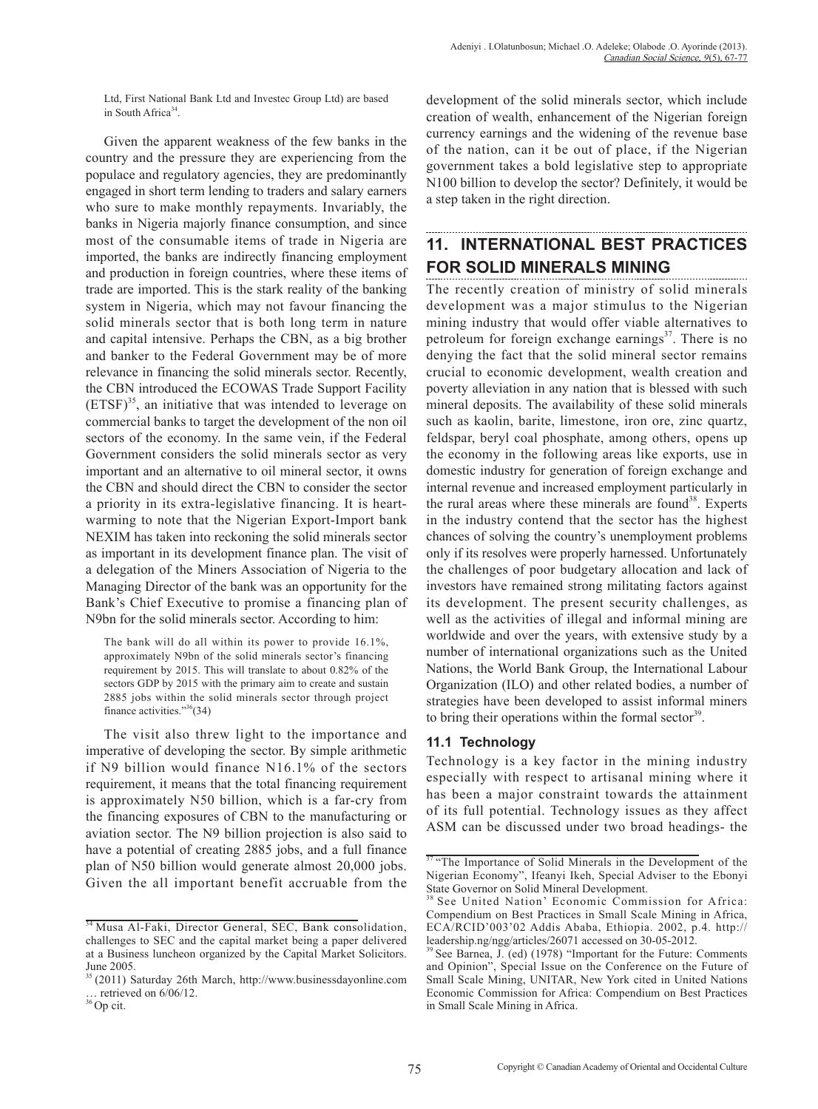Ltd, First National Bank Ltd and Investec Group Ltd) are based in South Africa $34$ .

Given the apparent weakness of the few banks in the country and the pressure they are experiencing from the populace and regulatory agencies, they are predominantly engaged in short term lending to traders and salary earners who sure to make monthly repayments. Invariably, the banks in Nigeria majorly finance consumption, and since most of the consumable items of trade in Nigeria are imported, the banks are indirectly financing employment and production in foreign countries, where these items of trade are imported. This is the stark reality of the banking system in Nigeria, which may not favour financing the solid minerals sector that is both long term in nature and capital intensive. Perhaps the CBN, as a big brother and banker to the Federal Government may be of more relevance in financing the solid minerals sector. Recently, the CBN introduced the ECOWAS Trade Support Facility  $\overline{(ETSF)}^{35}$ , an initiative that was intended to leverage on commercial banks to target the development of the non oil sectors of the economy. In the same vein, if the Federal Government considers the solid minerals sector as very important and an alternative to oil mineral sector, it owns the CBN and should direct the CBN to consider the sector a priority in its extra-legislative financing. It is heartwarming to note that the Nigerian Export-Import bank NEXIM has taken into reckoning the solid minerals sector as important in its development finance plan. The visit of a delegation of the Miners Association of Nigeria to the Managing Director of the bank was an opportunity for the Bank's Chief Executive to promise a financing plan of N9bn for the solid minerals sector. According to him:

The bank will do all within its power to provide 16.1%, approximately N9bn of the solid minerals sector's financing requirement by 2015. This will translate to about 0.82% of the sectors GDP by 2015 with the primary aim to create and sustain 2885 jobs within the solid minerals sector through project finance activities."36(34)

The visit also threw light to the importance and imperative of developing the sector. By simple arithmetic if N9 billion would finance N16.1% of the sectors requirement, it means that the total financing requirement is approximately N50 billion, which is a far-cry from the financing exposures of CBN to the manufacturing or aviation sector. The N9 billion projection is also said to have a potential of creating 2885 jobs, and a full finance plan of N50 billion would generate almost 20,000 jobs. Given the all important benefit accruable from the development of the solid minerals sector, which include creation of wealth, enhancement of the Nigerian foreign currency earnings and the widening of the revenue base of the nation, can it be out of place, if the Nigerian government takes a bold legislative step to appropriate N100 billion to develop the sector? Definitely, it would be a step taken in the right direction.

# **11. INTERNATIONAL BEST PRACTICES FOR SOLID MINERALS MINING**

The recently creation of ministry of solid minerals development was a major stimulus to the Nigerian mining industry that would offer viable alternatives to petroleum for foreign exchange earnings $37$ . There is no denying the fact that the solid mineral sector remains crucial to economic development, wealth creation and poverty alleviation in any nation that is blessed with such mineral deposits. The availability of these solid minerals such as kaolin, barite, limestone, iron ore, zinc quartz, feldspar, beryl coal phosphate, among others, opens up the economy in the following areas like exports, use in domestic industry for generation of foreign exchange and internal revenue and increased employment particularly in the rural areas where these minerals are found<sup>38</sup>. Experts in the industry contend that the sector has the highest chances of solving the country's unemployment problems only if its resolves were properly harnessed. Unfortunately the challenges of poor budgetary allocation and lack of investors have remained strong militating factors against its development. The present security challenges, as well as the activities of illegal and informal mining are worldwide and over the years, with extensive study by a number of international organizations such as the United Nations, the World Bank Group, the International Labour Organization (ILO) and other related bodies, a number of strategies have been developed to assist informal miners to bring their operations within the formal sector<sup>39</sup>.

### **11.1 Technology**

Technology is a key factor in the mining industry especially with respect to artisanal mining where it has been a major constraint towards the attainment of its full potential. Technology issues as they affect ASM can be discussed under two broad headings- the

<sup>&</sup>lt;sup>34</sup> Musa Al-Faki, Director General, SEC, Bank consolidation, challenges to SEC and the capital market being a paper delivered at a Business luncheon organized by the Capital Market Solicitors. June 2005.

<sup>35 (2011)</sup> Saturday 26th March, http://www.businessdayonline.com … retrieved on 6/06/12.

 $36$  Op cit.

<sup>&</sup>lt;sup>37</sup> "The Importance of Solid Minerals in the Development of the Nigerian Economy", Ifeanyi Ikeh, Special Adviser to the Ebonyi State Governor on Solid Mineral Development.

<sup>38</sup> See United Nation' Economic Commission for Africa: Compendium on Best Practices in Small Scale Mining in Africa, ECA/RCID'003'02 Addis Ababa, Ethiopia. 2002, p.4. http:// leadership.ng/ngg/articles/26071 accessed on 30-05-2012.

See Barnea, J. (ed) (1978) "Important for the Future: Comments and Opinion", Special Issue on the Conference on the Future of Small Scale Mining, UNITAR, New York cited in United Nations Economic Commission for Africa: Compendium on Best Practices in Small Scale Mining in Africa.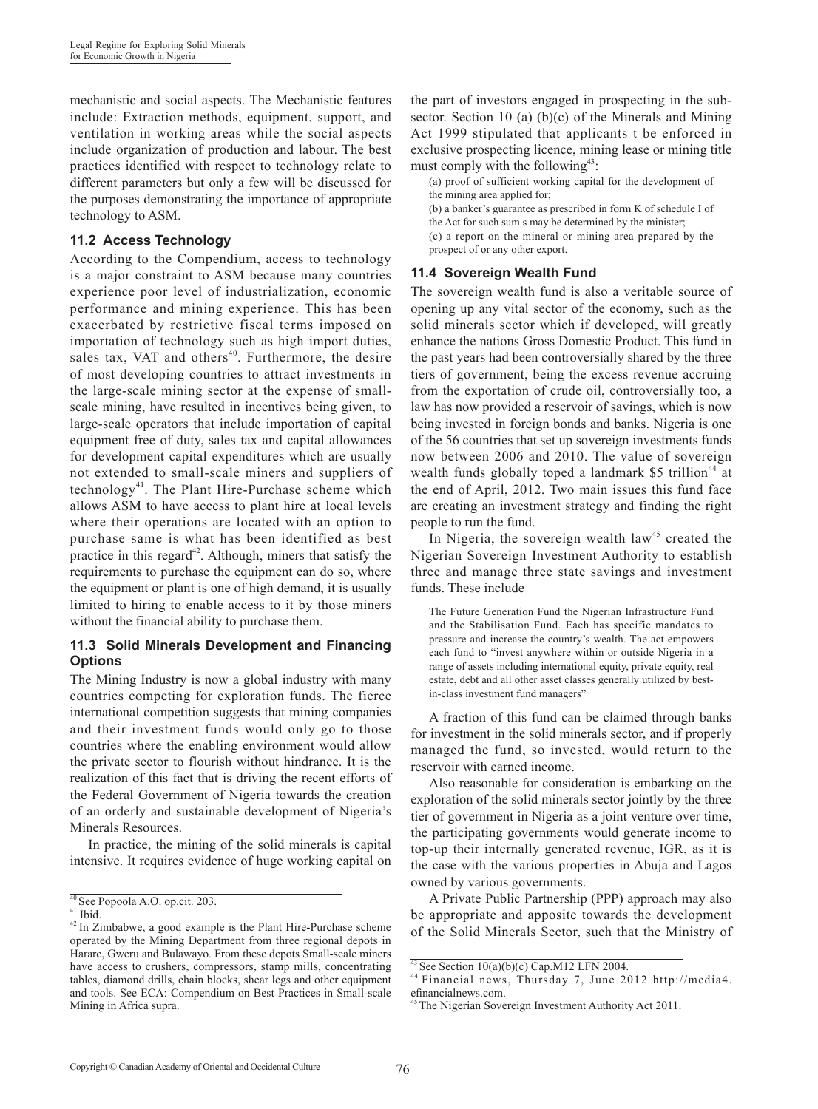mechanistic and social aspects. The Mechanistic features include: Extraction methods, equipment, support, and ventilation in working areas while the social aspects include organization of production and labour. The best practices identified with respect to technology relate to different parameters but only a few will be discussed for the purposes demonstrating the importance of appropriate technology to ASM.

### **11.2 Access Technology**

According to the Compendium, access to technology is a major constraint to ASM because many countries experience poor level of industrialization, economic performance and mining experience. This has been exacerbated by restrictive fiscal terms imposed on importation of technology such as high import duties, sales tax, VAT and others $40$ . Furthermore, the desire of most developing countries to attract investments in the large-scale mining sector at the expense of smallscale mining, have resulted in incentives being given, to large-scale operators that include importation of capital equipment free of duty, sales tax and capital allowances for development capital expenditures which are usually not extended to small-scale miners and suppliers of technology<sup>41</sup>. The Plant Hire-Purchase scheme which allows ASM to have access to plant hire at local levels where their operations are located with an option to purchase same is what has been identified as best practice in this regard<sup>42</sup>. Although, miners that satisfy the requirements to purchase the equipment can do so, where the equipment or plant is one of high demand, it is usually limited to hiring to enable access to it by those miners without the financial ability to purchase them.

### **11.3 Solid Minerals Development and Financing Options**

The Mining Industry is now a global industry with many countries competing for exploration funds. The fierce international competition suggests that mining companies and their investment funds would only go to those countries where the enabling environment would allow the private sector to flourish without hindrance. It is the realization of this fact that is driving the recent efforts of the Federal Government of Nigeria towards the creation of an orderly and sustainable development of Nigeria's Minerals Resources.

In practice, the mining of the solid minerals is capital intensive. It requires evidence of huge working capital on the part of investors engaged in prospecting in the subsector. Section 10 (a) (b)(c) of the Minerals and Mining Act 1999 stipulated that applicants t be enforced in exclusive prospecting licence, mining lease or mining title must comply with the following $43$ :

(a) proof of sufficient working capital for the development of the mining area applied for; (b) a banker's guarantee as prescribed in form K of schedule I of

the Act for such sum s may be determined by the minister; (c) a report on the mineral or mining area prepared by the prospect of or any other export.

### **11.4 Sovereign Wealth Fund**

The sovereign wealth fund is also a veritable source of opening up any vital sector of the economy, such as the solid minerals sector which if developed, will greatly enhance the nations Gross Domestic Product. This fund in the past years had been controversially shared by the three tiers of government, being the excess revenue accruing from the exportation of crude oil, controversially too, a law has now provided a reservoir of savings, which is now being invested in foreign bonds and banks. Nigeria is one of the 56 countries that set up sovereign investments funds now between 2006 and 2010. The value of sovereign wealth funds globally toped a landmark  $$5$  trillion<sup>44</sup> at the end of April, 2012. Two main issues this fund face are creating an investment strategy and finding the right people to run the fund.

In Nigeria, the sovereign wealth  $law<sup>45</sup>$  created the Nigerian Sovereign Investment Authority to establish three and manage three state savings and investment funds. These include

The Future Generation Fund the Nigerian Infrastructure Fund and the Stabilisation Fund. Each has specific mandates to pressure and increase the country's wealth. The act empowers each fund to "invest anywhere within or outside Nigeria in a range of assets including international equity, private equity, real estate, debt and all other asset classes generally utilized by bestin-class investment fund managers"

A fraction of this fund can be claimed through banks for investment in the solid minerals sector, and if properly managed the fund, so invested, would return to the reservoir with earned income.

Also reasonable for consideration is embarking on the exploration of the solid minerals sector jointly by the three tier of government in Nigeria as a joint venture over time, the participating governments would generate income to top-up their internally generated revenue, IGR, as it is the case with the various properties in Abuja and Lagos owned by various governments.

A Private Public Partnership (PPP) approach may also be appropriate and apposite towards the development of the Solid Minerals Sector, such that the Ministry of

 $40$  See Popoola A.O. op.cit. 203.

 $42$  In Zimbabwe, a good example is the Plant Hire-Purchase scheme operated by the Mining Department from three regional depots in Harare, Gweru and Bulawayo. From these depots Small-scale miners have access to crushers, compressors, stamp mills, concentrating tables, diamond drills, chain blocks, shear legs and other equipment and tools. See ECA: Compendium on Best Practices in Small-scale Mining in Africa supra.

<sup>&</sup>lt;sup>43</sup> See Section 10(a)(b)(c) Cap.M12 LFN 2004.<br><sup>44</sup> Financial news, Thursday 7, June 2012 http://media4. efinancialnews.com.

The Nigerian Sovereign Investment Authority Act  $2011$ .